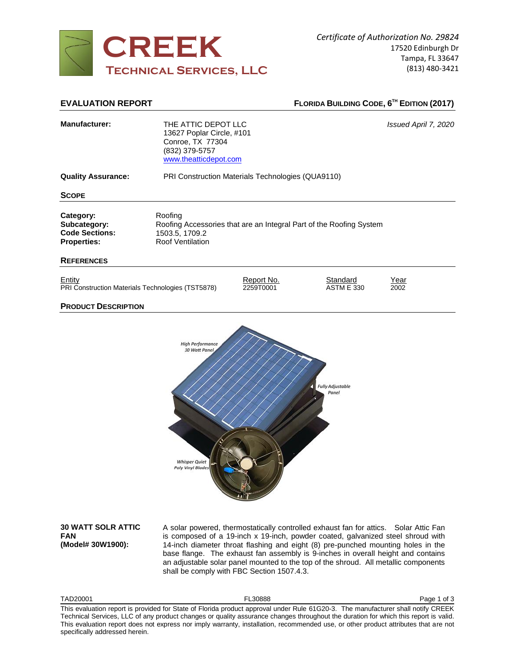

| <b>EVALUATION REPORT</b>                                                 |                                                                                                                 |                         | FLORIDA BUILDING CODE, 6 <sup>TH</sup> EDITION (2017)               |                      |
|--------------------------------------------------------------------------|-----------------------------------------------------------------------------------------------------------------|-------------------------|---------------------------------------------------------------------|----------------------|
| Manufacturer:                                                            | THE ATTIC DEPOT LLC<br>13627 Poplar Circle, #101<br>Conroe, TX 77304<br>(832) 379-5757<br>www.theatticdepot.com |                         |                                                                     | Issued April 7, 2020 |
| <b>Quality Assurance:</b>                                                | PRI Construction Materials Technologies (QUA9110)                                                               |                         |                                                                     |                      |
| <b>SCOPE</b>                                                             |                                                                                                                 |                         |                                                                     |                      |
| Category:<br>Subcategory:<br><b>Code Sections:</b><br><b>Properties:</b> | Roofing<br>1503.5, 1709.2<br>Roof Ventilation                                                                   |                         | Roofing Accessories that are an Integral Part of the Roofing System |                      |
| <b>REFERENCES</b>                                                        |                                                                                                                 |                         |                                                                     |                      |
| Entity<br>PRI Construction Materials Technologies (TST5878)              |                                                                                                                 | Report No.<br>2259T0001 | Standard<br><b>ASTM E 330</b>                                       | Year<br>2002         |
| <b>PRODUCT DESCRIPTION</b>                                               |                                                                                                                 |                         |                                                                     |                      |
|                                                                          | <b>High Performance</b><br>30 Watt Panel                                                                        |                         | <b>Fully Adjustable</b><br>Panel                                    |                      |

**30 WATT SOLR ATTIC FAN (Model# 30W1900):**

A solar powered, thermostatically controlled exhaust fan for attics. Solar Attic Fan is composed of a 19-inch x 19-inch, powder coated, galvanized steel shroud with 14-inch diameter throat flashing and eight (8) pre-punched mounting holes in the base flange. The exhaust fan assembly is 9-inches in overall height and contains an adjustable solar panel mounted to the top of the shroud. All metallic components shall be comply with FBC Section 1507.4.3.

**Whisper Quiet** Poly Vinyl Blade

TAD20001 FL30888 Page 1 of 3 Page 1 of 3

This evaluation report is provided for State of Florida product approval under Rule 61G20-3. The manufacturer shall notify CREEK Technical Services, LLC of any product changes or quality assurance changes throughout the duration for which this report is valid. This evaluation report does not express nor imply warranty, installation, recommended use, or other product attributes that are not specifically addressed herein.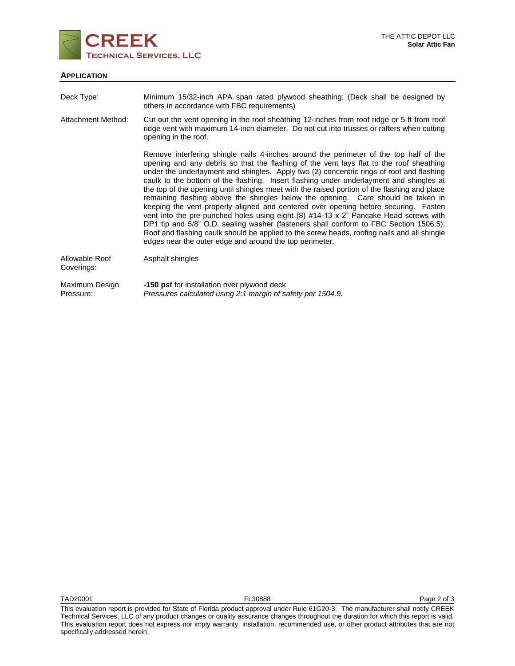

# **APPLICATION**

| Deck Type:                   | Minimum 15/32-inch APA span rated plywood sheathing; (Deck shall be designed by<br>others in accordance with FBC requirements)                                                                                                                                                                                                                                                                                                                                                                                                                                                                                                                                                                                                                                                                                                                                                                                                                                                                |
|------------------------------|-----------------------------------------------------------------------------------------------------------------------------------------------------------------------------------------------------------------------------------------------------------------------------------------------------------------------------------------------------------------------------------------------------------------------------------------------------------------------------------------------------------------------------------------------------------------------------------------------------------------------------------------------------------------------------------------------------------------------------------------------------------------------------------------------------------------------------------------------------------------------------------------------------------------------------------------------------------------------------------------------|
| Attachment Method:           | Cut out the vent opening in the roof sheathing 12-inches from roof ridge or 5-ft from roof<br>ridge vent with maximum 14-inch diameter. Do not cut into trusses or rafters when cutting<br>opening in the roof.                                                                                                                                                                                                                                                                                                                                                                                                                                                                                                                                                                                                                                                                                                                                                                               |
|                              | Remove interfering shingle nails 4-inches around the perimeter of the top half of the<br>opening and any debris so that the flashing of the vent lays flat to the roof sheathing<br>under the underlayment and shingles. Apply two (2) concentric rings of roof and flashing<br>caulk to the bottom of the flashing. Insert flashing under underlayment and shingles at<br>the top of the opening until shingles meet with the raised portion of the flashing and place<br>remaining flashing above the shingles below the opening. Care should be taken in<br>keeping the vent properly aligned and centered over opening before securing. Fasten<br>vent into the pre-punched holes using eight (8) #14-13 x 2" Pancake Head screws with<br>DP1 tip and 5/8" O.D. sealing washer (fasteners shall conform to FBC Section 1506.5).<br>Roof and flashing caulk should be applied to the screw heads, roofing nails and all shingle<br>edges near the outer edge and around the top perimeter. |
| Allowable Roof<br>Coverings: | Asphalt shingles                                                                                                                                                                                                                                                                                                                                                                                                                                                                                                                                                                                                                                                                                                                                                                                                                                                                                                                                                                              |
| Maximum Design<br>Pressure:  | -150 psf for installation over plywood deck<br>Pressures calculated using 2:1 margin of safety per 1504.9.                                                                                                                                                                                                                                                                                                                                                                                                                                                                                                                                                                                                                                                                                                                                                                                                                                                                                    |

TAD20001 FL30888 Page 2 of 3 Page 2 of 3

This evaluation report is provided for State of Florida product approval under Rule 61G20-3. The manufacturer shall notify CREEK Technical Services, LLC of any product changes or quality assurance changes throughout the duration for which this report is valid. This evaluation report does not express nor imply warranty, installation, recommended use, or other product attributes that are not specifically addressed herein.